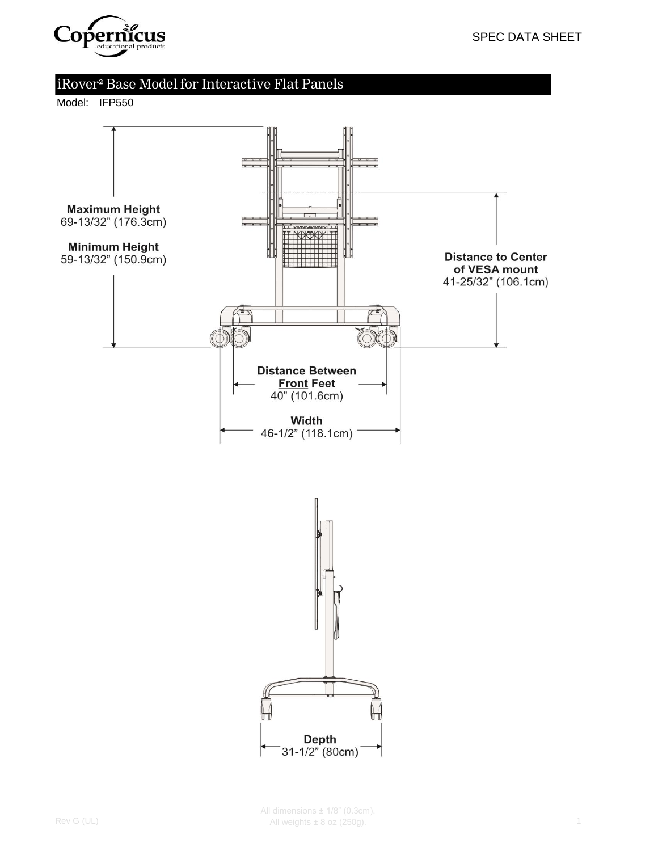

# iRover² Base Model for Interactive Flat Panels

Model: IFP550

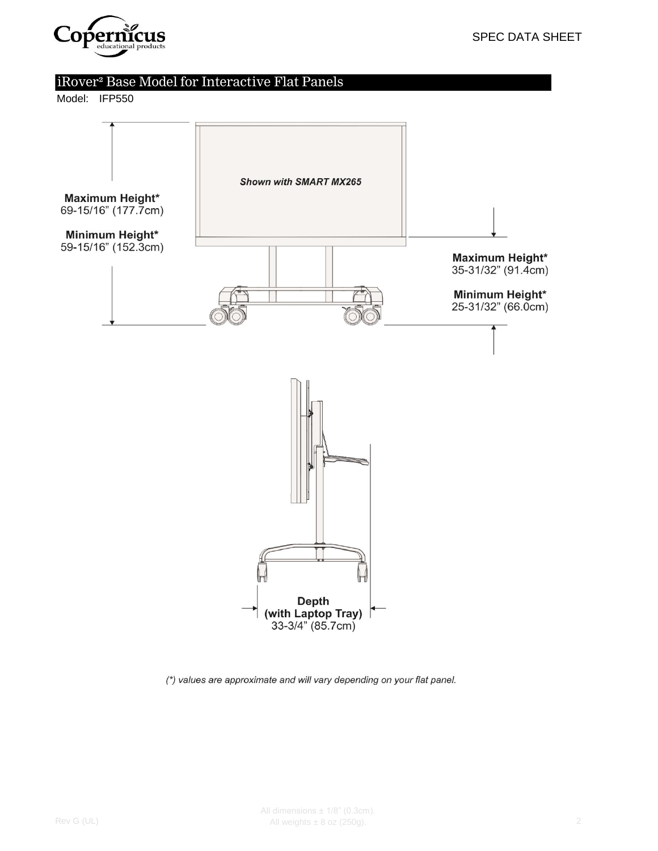

# iRover² Base Model for Interactive Flat Panels

Model: IFP550



(\*) values are approximate and will vary depending on your flat panel.